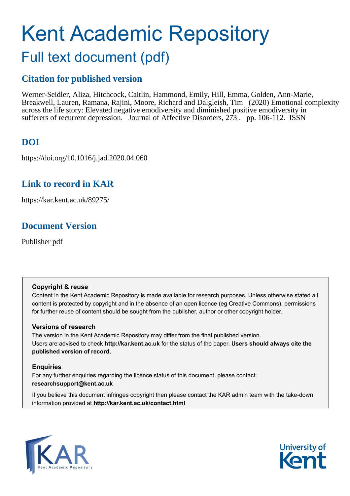# Kent Academic Repository Full text document (pdf)

### **Citation for published version**

Werner-Seidler, Aliza, Hitchcock, Caitlin, Hammond, Emily, Hill, Emma, Golden, Ann-Marie, Breakwell, Lauren, Ramana, Rajini, Moore, Richard and Dalgleish, Tim (2020) Emotional complexity across the life story: Elevated negative emodiversity and diminished positive emodiversity in sufferers of recurrent depression. Journal of Affective Disorders, 273 . pp. 106-112. ISSN

## **DOI**

https://doi.org/10.1016/j.jad.2020.04.060

### **Link to record in KAR**

https://kar.kent.ac.uk/89275/

### **Document Version**

Publisher pdf

### **Copyright & reuse**

Content in the Kent Academic Repository is made available for research purposes. Unless otherwise stated all content is protected by copyright and in the absence of an open licence (eg Creative Commons), permissions for further reuse of content should be sought from the publisher, author or other copyright holder.

### **Versions of research**

The version in the Kent Academic Repository may differ from the final published version. Users are advised to check **http://kar.kent.ac.uk** for the status of the paper. **Users should always cite the published version of record.**

### **Enquiries**

For any further enquiries regarding the licence status of this document, please contact: **researchsupport@kent.ac.uk**

If you believe this document infringes copyright then please contact the KAR admin team with the take-down information provided at **http://kar.kent.ac.uk/contact.html**



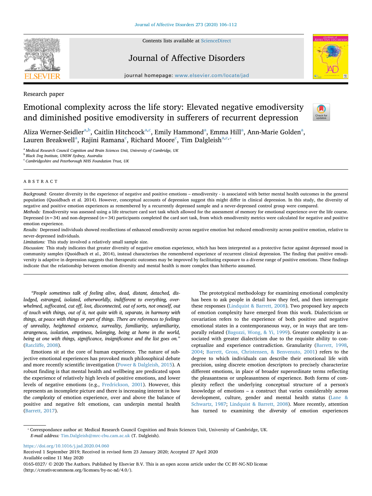

Contents lists available at [ScienceDirect](http://www.sciencedirect.com/science/journal/01650327)

### Journal of Affective Disorders



journal homepage: [www.elsevier.com/locate/jad](https://www.elsevier.com/locate/jad)

Research paper

### Emotional complexity across the life story: Elevated negative emodiversity and diminished positive emodiversity in sufferers of recurrent depression



Aliza Werner-Seidler<sup>a,b</sup>, Caitlin Hitchcock<sup>a,c</sup>, Emily Hammond<sup>a</sup>, Emma Hill<sup>a</sup>, Ann-Marie Golden<sup>a</sup>, Lauren Breakwell<sup>a</sup>, Rajini Ramana<sup>c</sup>, Richard Moore<sup>c</sup>, Tim Dalgleish<sup>a,c,\*</sup>

<sup>a</sup> *Medical Research Council Cognition and Brain Sciences Unit, University of Cambridge, UK*

<sup>b</sup> *Black Dog Institute, UNSW Sydney, Australia*

<sup>c</sup> *Cambridgeshire and Peterborough NHS Foundation Trust, UK*

#### ABSTRACT

*Background:* Greater diversity in the experience of negative and positive emotions – emodiversity - is associated with better mental health outcomes in the general population (Quoidbach et al. 2014). However, conceptual accounts of depression suggest this might differ in clinical depression. In this study, the diversity of negative and positive emotion experiences as remembered by a recurrently depressed sample and a never-depressed control group were compared. *Methods:* Emodiversity was assessed using a life structure card sort task which allowed for the assessment of memory for emotional experience over the life course.

Depressed ( $n=34$ ) and non-depressed ( $n=34$ ) participants completed the card sort task, from which emodiversity metrics were calculated for negative and positive emotion experience.

*Results:* Depressed individuals showed recollections of enhanced emodiversity across negative emotion but reduced emodiversity across positive emotion, relative to never-depressed individuals.

*Limitations:* This study involved a relatively small sample size.

*Discussion:* This study indicates that greater diversity of negative emotion experience, which has been interpreted as a protective factor against depressed mood in community samples (Quoidbach et al., 2014), instead characterises the remembered experience of recurrent clinical depression. The finding that positive emodiversity is adaptive in depression suggests that therapeutic outcomes may be improved by facilitating exposure to a diverse range of positive emotions. These findings indicate that the relationship between emotion diversity and mental health is more complex than hitherto assumed.

*"People sometimes talk of feeling alive, dead, distant, detached, dislodged, estranged, isolated, otherworldly, indifferent to everything, overwhelmed, suffocated, cut off, lost, disconnected, out of sorts, not oneself, out of touch with things, out of it, not quite with it, separate, in harmony with things, at peace with things or part of things. There are references to feelings of unreality, heightened existence, surreality, familiarity, unfamiliarity, strangeness, isolation, emptiness, belonging, being at home in the world, being at one with things, significance, insignificance and the list goes on.*" (Ratcliffe, 2008).

Emotions sit at the core of human experience. The nature of subjective emotional experiences has provoked much philosophical debate and more recently scientific investigation (Power & Dalgleish, 2015). A robust finding is that mental health and wellbeing are predicated upon the experience of relatively high levels of positive emotions, and lower levels of negative emotions (e.g., Fredrickson, 2001). However, this represents an incomplete picture and there is increasing interest in how the *complexity* of emotion experience, over and above the balance of positive and negative felt emotions, can underpin mental health (Barrett, 2017).

The prototypical methodology for examining emotional complexity has been to ask people in detail how they feel, and then interrogate these responses (Lindquist & Barrett, 2008). Two proposed key aspects of emotion complexity have emerged from this work. Dialecticism or covariation refers to the experience of both positive and negative emotional states in a contemporaneous way, or in ways that are temporally related (Bagozzi, Wong, & Yi, 1999). Greater complexity is associated with greater dialecticism due to the requisite ability to conceptualize and experience contradiction. Granularity (Barrett, 1998, 2004; Barrett, Gross, Christensen, & Benvenuto, 2001) refers to the degree to which individuals can describe their emotional life with precision, using discrete emotion descriptors to precisely characterize different emotions, in place of broader superordinate terms reflecting the pleasantness or unpleasantness of experience. Both forms of complexity reflect the underlying conceptual structure of a person's knowledge of emotions – a construct that varies considerably across development, culture, gender and mental health status (Lane & Schwartz, 1987; Lindquist & Barrett, 2008). More recently, attention has turned to examining the *diversity* of emotion experiences

<https://doi.org/10.1016/j.jad.2020.04.060>

Received 1 September 2019; Received in revised form 23 January 2020; Accepted 27 April 2020 Available online 11 May 2020 0165-0327/ © 2020 The Authors. Published by Elsevier B.V. This is an open access article under the CC BY-NC-ND license (http://creativecommons.org/licenses/by-nc-nd/4.0/).

<sup>⁎</sup> Correspondance author at: Medical Research Council Cognition and Brain Sciences Unit, University of Cambridge, UK. *E-mail address:* [Tim.Dalgleish@mrc-cbu.cam.ac.uk](mailto:Tim.Dalgleish@mrc-cbu.cam.ac.uk) (T. Dalgleish).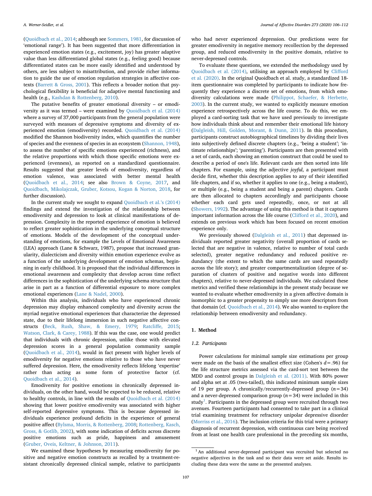(Quoidbach et al., 2014; although see Sommers, 1981, for discussion of 'emotional range'). It has been suggested that more differentiation in experienced emotion states (e.g., excitement, joy) has greater adaptive value than less differentiated global states (e.g., feeling good) because differentiated states can be more easily identified and understood by others, are less subject to misattribution, and provide richer information to guide the use of emotion regulation strategies in affective contexts (Barrett & Gross, 2001). This reflects a broader notion that psychological flexibility is beneficial for adaptive mental functioning and health (e.g., Kashdan & Rottenberg, 2010).

The putative benefits of greater emotional diversity – or emodiversity as it was termed – were examined by Quoidbach et al. (2014) where a survey of 37,000 participants from the general population were surveyed with measues of depressive symptoms and diversity of experienced emotion (emodiversity) recorded. Quoidbach et al. (2014) modified the Shannon biodiversity index, which quantifies the number of species and the evenness of species in an ecosystem (Shannon, 1948), to assess the number of specific emotions experienced (richness), and the relative proportions with which those specific emotions were experienced (evenness), as reported on a standardized questionnaire. Results suggested that greater levels of emodiversity, regardless of emotion valence, was associated with better mental health (Quoidbach et al., 2014; see also Brown & Coyne, 2017, and Quoidbach, Mikolajczak, Gruber, Kotsou, Kogan & Norton, 2018, for further discussion).

In the current study we sought to expand Quoidbach et al.'s (2014) findings and extend the investigation of the relationship between emodiversity and depression to look at clinical manifestations of depression. Complexity in the reported experience of emotion is believed to reflect greater sophistication in the underlying conceptual structure of emotions. Models of the development of the conceptual understanding of emotions, for example the Levels of Emotional Awareness (LEA) approach (Lane & Schwarz, 1987), propose that increased granularity, dialecticism and diversity within emotion experience evolve as a function of the underlying development of emotion schemas, beginning in early childhood. It is proposed that the individual differences in emotional awareness and complexity that develop across time reflect differences in the sophistication of the underlying schema structure that arise in part as a function of differential exposure to more complex emotional experiences (Lane & Nadel, 2000).

Within this analysis, individuals who have experienced chronic depression may display enhanced complexity and diversity across the myriad negative emotional experiences that characterize the depressed state, due to their lifelong immersion in such negative affective constructs (Beck, Rush, Shaw, & Emery, 1979; Ratcliffe, 2015; Watson, Clark, & Carey, 1988). If this was the case, one would predict that individuals with chronic depression, unlike those with elevated depression scores in a general population community sample (Quoidbach et al., 2014), would in fact present with higher levels of emodiversity for negative emotions relative to those who have never suffered depression. Here, the emodiversity reflects lifelong 'expertise' rather than acting as some form of protective factor (cf. Quoidbach et al., 2014).

Emodiversity for positive emotions in chronically depressed individuals, on the other hand, would be expected to be reduced, relative to healthy controls, in line with the results of Quoidbach et al. (2014) showing that lower positive emodiversity was associated with higher self-reported depressive symptoms. This is because depressed individuals experience profound deficits in the experience of general positive affect (Bylsma, Morris, & Rottenberg, 2008; Rottenberg, Kasch, Gross, & Gotlib, 2002), with some indication of deficits across discrete positive emotions such as pride, happiness and amusement (Gruber, Oveis, Keltner, & Johnson, 2011).

We examined these hypotheses by measuring emodiversity for positive and negative emotion constructs as recalled by a treatment-resistant chronically depressed clinical sample, relative to participants

who had never experienced depression. Our predictions were for greater emodiversity in negative memory recollection by the depressed group, and reduced emodiversity in the positive domain, relative to never-depressed controls.

To evaluate these questions, we extended the methodology used by Quoidbach et al. (2014), utilising an approach employed by Clifford et al. (2020). In the original Quoidbach et al. study, a standardized 18 item questionnaire was completed by participants to indicate how frequently they experience a discrete set of emotions, from which emodiversity calculations were made (Philippot, Schaefer, & Herbette, 2003). In the current study, we wanted to explicitly measure emotion experience retrospectively across the life course. To do this, we employed a card-sorting task that we have used previously to investigate how individuals think about and remember their emotional life history (Dalgleish, Hill, Golden, Morant, & Dunn, 2011). In this procedure, participants construct autobiographical timelines by dividing their lives into subjectively defined discrete chapters (e.g., 'being a student'; 'intimate relationships'; 'parenting'). Participants are then presented with a set of cards, each showing an emotion construct that could be used to describe a period of one's life. Relevant cards are then sorted into life chapters. For example, using the adjective *joyful*, a participant must decide first, whether this description applies to any of their identified life chapters, and if so, whether it applies to one (e.g., being a student), or multiple (e.g., being a student and being a parent) chapters. Cards are then allocated to chapters accordingly and participants choose whether each card gets used repeatedly, once, or not at all (Showers, 1992). The advantage of using this method is that it captures important information across the life course (Clifford et al., 2020), and extends on previous work which has been focused on recent emotion experience only.

We previously showed (Dalgleish et al., 2011) that depressed individuals reported greater negativity (overall proportion of cards selected that are negative in valence, relative to number of total cards selected), greater negative redundancy and reduced positive redundancy (the extent to which the same cards are used repeatedly across the life story); and greater compartmentalization (degree of separation of clusters of positive and negative words into different chapters), relative to never-depressed individuals. We calculated these metrics and verified these relationships in the present study because we wanted to evaluate whether emodiversity in a given affective domain is isomorphic to a greater propensity to simply use more descriptors from that domain (cf. Quoidbach et al., 2014). We also wanted to explore the relationship between emodiversity and redundancy.

### **1. Method**

#### *1.2. Participants*

Power calculations for minimal sample size estimations per group were made on the basis of the smallest effect size (Cohen's *d*=.96) for the life structure metrics assessed via the card-sort test between the MDD and control groups in Dalgleish et al. (2011). With 80% power and alpha set at .05 (two-tailed), this indicated minimum sample sizes of 19 per group. A chronically/recurrently-depressed group (*n*=34) and a never-depressed comparison group (*n*=34) were included in this study<sup>1</sup>. Participants in the depressed group were recruited through two avenues. Fourteen participants had consented to take part in a clinical trial examining treatment for refractory unipolar depressive disorder (Morriss et al., 2016). The inclusion criteria for this trial were a primary diagnosis of recurrent depression, with continuous care being received from at least one health care professional in the preceding six months,

<sup>&</sup>lt;sup>1</sup> An additional never-depressed participant was recruited but selected no negative adjectives in the task and so their data were set aside. Results including these data were the same as the presented analyses.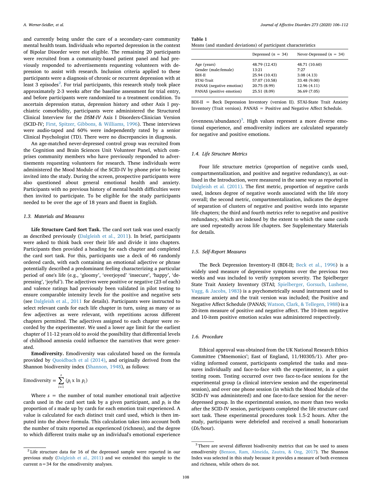and currently being under the care of a secondary-care community mental health team. Individuals who reported depression in the context of Bipolar Disorder were not eligible. The remaining 20 participants were recruited from a community-based patient panel and had previously responded to advertisements requesting volunteers with depression to assist with research. Inclusion criteria applied to these participants were a diagnosis of chronic or recurrent depression with at least 3 episodes $^2$ . For trial participants, this research study took place approximately 2-3 weeks after the baseline assessment for trial entry, and before participants were randomized to a treatment condition. To ascertain depression status, depression history and other Axis I psychiatric comorbidity, participants were administered the Structured Clinical Interview for the *DSM-IV* Axis I Disorders-Clinician Version (SCID-IV; First, Spitzer, Gibbons, & Williams, 1996). These interviews were audio-taped and 60% were independently rated by a senior Clinical Psychologist (TD). There were no discrepancies in diagnosis.

An age-matched never-depressed control group was recruited from the Cognition and Brain Sciences Unit Volunteer Panel, which comprises community members who have previously responded to advertisements requesting volunteers for research. These individuals were administered the Mood Module of the SCID-IV by phone prior to being invited into the study. During the screen, prospective participants were also questioned about general emotional health and anxiety. Participants with no previous history of mental health difficulties were then invited to participate. To be eligible for the study participants needed to be over the age of 18 years and fluent in English.

#### *1.3. Materials and Measures*

**Life Structure Card Sort Task.** The card sort task was used exactly as described previously (Dalgleish et al., 2011). In brief, participants were asked to think back over their life and divide it into chapters. Participants then provided a heading for each chapter and completed the card sort task. For this, participants use a deck of 46 randomly ordered cards, with each containing an emotional adjective or phrase potentially described a predominant feeling characterizing a particular period of one's life (e.g., 'gloomy', 'overjoyed' 'insecure', 'happy', 'depressing', 'joyful'). The adjectives were positive or negative (23 of each) and valence ratings had previously been validated in pilot testing to ensure comparable intensity levels for the positive and negative sets (see Dalgleish et al., 2011 for details). Participants were instructed to select relevant cards for each life chapter in turn, using as many or as few adjectives as were relevant, with repetitions across different chapters permitted. The adjectives assigned to each chapter were recorded by the experimenter. We used a lower age limit for the earliest chapter of 11-12 years old to avoid the possibility that differential levels of childhood amnesia could influence the narratives that were generated.

**Emodiversity.** Emodiversity was calculated based on the formula provided by Quoidbach et al (2014), and originally derived from the Shannon biodiversity index (Shannon, 1948), as follows:

$$
Emodiversity = \sum_{i=1}^{s} (p_i \times \ln p_i)
$$

Where  $s =$  the number of total number emotional trait adjective cards used in the card sort task by a given participant, and  $p_i$  is the proportion of *s* made up by cards for each emotion trait experienced. A value is calculated for each distinct trait card used, which is then imputed into the above formula. This calculation takes into account both the number of traits reported as experienced (richness), and the degree to which different traits make up an individual's emotional experience

**Table 1**

| Means (and standard deviations) of participant characteristics |  |
|----------------------------------------------------------------|--|
|----------------------------------------------------------------|--|

|                          | Depressed $(n = 34)$ | Never-Depressed $(n = 34)$ |  |  |
|--------------------------|----------------------|----------------------------|--|--|
| Age (years)              | 48.79 (12.43)        | 48.71 (10.60)              |  |  |
| Gender (male:female)     | 13:21                | 7:27                       |  |  |
| <b>BDI-II</b>            | 25.94 (10.43)        | 3.08(4.13)                 |  |  |
| STAI-Trait               | 57.07 (10.58)        | 33.48 (9.00)               |  |  |
| PANAS (negative emotion) | 20.75 (8.99)         | 12.96 (4.11)               |  |  |
| PANAS (positive emotion) | 25.51 (8.09)         | 36.69 (7.05)               |  |  |
|                          |                      |                            |  |  |

BDI-II = Beck Depression Inventory (version II). STAI-State Trait Anxiety Inventory (Trait version). PANAS = Positive and Negative Affect Schedule.

(evenness/abundance)<sup>3</sup>. High values represent a more diverse emotional experience, and emodiversity indices are calculated separately for negative and positive emotions.

#### *1.4. Life Structure Metrics*

Four life structure metrics (proportion of negative cards used, compartmentalization, and positive and negative redundancy), as outlined in the Introduction, were measured in the same way as reported in Dalgleish et al. (2011). The first metric, proportion of negative cards used, indexes degree of negative words associated with the life story overall; the second metric, compartmentalization, indicates the degree of separation of clusters of negative and positive words into separate life chapters; the third and fourth metrics refer to negative and positive redundancy, which are indexed by the extent to which the same cards are used repeatedly across life chapters. See Supplementary Materials for details.

#### *1.5. Self-Report Measures*

The Beck Depression Inventory-II (BDI-II; Beck et al., 1996) is a widely used measure of depressive symptoms over the previous two weeks and was included to verify symptom severity. The Spielberger State Trait Anxiety Inventory (STAI; Spielberger, Gorsuch, Lushene, Vagg, & Jacobs, 1983) is a psychometrically sound instrument used to measure anxiety and the trait version was included; the Positive and Negative Affect Schedule (PANAS; Watson, Clark, & Tellegen, 1988) is a 20-item measure of positive and negative affect. The 10-item negative and 10-item positive emotion scales was administered respectively.

#### *1.6. Procedure*

Ethical approval was obtained from the UK National Research Ethics Committee ('Mnemonics'; East of England, 11/H0305/1). After providing informed consent, participants completed the tasks and measures individually and face-to-face with the experimenter, in a quiet testing room. Testing occurred over two face-to-face sessions for the experimental group (a clinical interview session and the experimental session), and over one phone session (in which the Mood Module of the SCID-IV was administered) and one face-to-face session for the neverdepressed group. In the experimental session, no more than two weeks after the SCID-IV session, participants completed the life structure card sort task. These experimental procedures took 1.5-2 hours. After the study, participants were debriefed and received a small honorarium (£6/hour).

<sup>2</sup> Life structure data for 16 of the depressed sample were reported in our previous study (Dalgleish et al., 2011) and we extended this sample to the current n=34 for the emodiversity analyses.

<sup>&</sup>lt;sup>3</sup> There are several different biodiversity metrics that can be used to assess emodiversity (Benson, Ram, Almeida, Zautra, & Ong, 2017). The Shannon Index was selected in this study because it provides a measure of both evenness and richness, while others do not.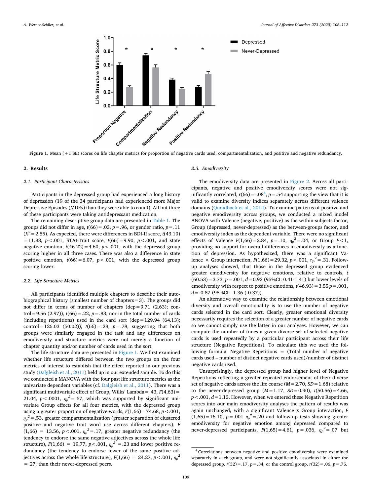

Figure 1. Mean (+1 SE) scores on life chapter metrics for proportion of negative cards used, compartmentalization, and positive and negative redundancy.

#### **2. Results**

#### *2.1. Participant Characteristics*

Participants in the depressed group had experienced a long history of depression (19 of the 34 participants had experienced more Major Depressive Episodes (MDEs) than they were able to count). All but three of these participants were taking antidepressant medication.

The remaining descriptive group data are presented in Table 1. The groups did not differ in age,  $t(66) = .03$ ,  $p = .96$ , or gender ratio,  $p = .11$  $(X^2 = 2.55)$ . As expected, there were differences in BDI-II score, *t*(43.10) =11.88, *p<*.001, STAI-Trait score, *t*(66)=9.90, *p<*.001, and state negative emotion,  $t(46.22)=4.60$ ,  $p<.001$ , with the depressed group scoring higher in all three cases. There was also a difference in state positive emotion,  $t(66)=6.07$ ,  $p<0.01$ , with the depressed group scoring lower.

#### *2.2. Life Structure Metrics*

All participants identified multiple chapters to describe their autobiographical history (smallest number of chapters=3). The groups did not differ in terms of number of chapters (dep=9.71 (2.63); control = 9.56 (2.97)),  $t(66)$  = .22,  $p = .83$ , nor in the total number of cards (including repetitions) used in the card sort (dep=129.94 (64.13); control=126.03 (50.02)), *t*(66)=.28, *p*=.78, suggesting that both groups were similarly engaged in the task and any differences on emodiversity and structure metrics were not merely a function of chapter quantity and/or number of cards used in the sort.

The life structure data are presented in Figure 1. We first examined whether life structure differed between the two groups on the four metrics of interest to establish that the effect reported in our previous study (Dalgleish et al., 2011) held up in our extended sample. To do this we conducted a MANOVA with the four past life structure metrics as the univariate dependent variables (cf. Dalgleish et al., 2011). There was a significant multivariate effect of Group, Wilks' Lambda=.43, *F*(4,63)= 21.04,  $p < .0001$ ,  $\eta_p^2 = .57$ , which was supported by significant univariate Group effects for all four metrics, with the depressed group using a greater proportion of negative words,  $F(1,66) = 74.68$ ,  $p < .001$ ,  $\eta_p^{\phantom{p}2}\!=\!.53$ , greater compartmentalization (greater separation of clustered positive and negative trait word use across different chapters), *F*  $(1,66) = 13.56, p < .001, \eta_p^2 = .17$ , greater negative redundancy (the tendency to endorse the same negative adjectives across the whole life structure),  $F(1,66) = 19.77$ ,  $p < .001$ ,  $\eta_p^2 = .23$  and lower positive redundancy (the tendency to endorse fewer of the same positive adjectives across the whole life structure),  $F(1,66) = 24.27, p < .001, \eta_p^2$ =.27, than their never-depressed peers.

#### *2.3. Emodiversity*

The emodiversity data are presented in Figure 2. Across all participants, negative and positive emodiversity scores were not significantly correlated,  $r(66) = -.08<sup>4</sup>$ ,  $p = .54$  supporting the view that it is valid to examine diversity indices separately across different valence domains (Quoidbach et al., 2014). To examine patterns of positive and negative emodiversity across groups, we conducted a mixed model ANOVA with Valence (negative, positive) as the within-subjects factor, Group (depressed, never-depressed) as the between-groups factor, and emodiversity index as the dependent variable. There were no significant effects of Valence  $F(1,66) = 2.84$ ,  $p = .10$ ,  $\eta_p^2 = .04$ , or Group  $F < 1$ , providing no support for overall differences in emodiversity as a function of depression. As hypothesized, there was a significant Valence  $\times$  Group interaction,  $F(1,66) = 29.32$ ,  $p < .001$ ,  $\eta_p^2 = .31$ . Followup analyses showed, that those in the depressed group evidenced greater emodiversity for negative emotions, relative to controls, *t* (60.53)=3.73, *p*=.001, *d*=0.92 (95%CI: 0.41-1.41) but lower levels of emodiversity with respect to positive emotions,  $t(46.93) = 3.55$   $p = .001$ , *d=*-0.87 (95%CI: -1.36-(-0.37)).

An alternative way to examine the relationship between emotional diversity and overall emotionality is to use the number of negative cards selected in the card sort. Clearly, greater emotional diversity necessarily requires the selection of a greater number of negative cards so we cannot simply use the latter in our analyses. However, we can compute the number of times a given diverse set of selected negative cards is used repeatedly by a particular participant across their life structure (Negative Repetitions). To calculate this we used the following formula: Negative Repetitions = (Total number of negative cards used – number of distinct negative cards used)/number of distinct negative cards used.

Unsurprisingly, the depressed group had higher level of Negative Repetitions reflecting a greater repeated endorsement of their diverse set of negative cards across the life course (*M*=2.70, *SD*=1.68) relative to the never-depressed group (*M*=1.17, *SD*=0.90), *t*(50.56)=4.66, *p*<.001, *d*=1.13. However, when we entered these Negative Repetition scores into our main emodiversity analyses the pattern of results was again unchanged, with a significant Valence x Group interaction, *F*  $(1,65) = 16.10$ ,  $p = .001$   $\eta_p^2 = .20$  and follow-up tests showing greater emodiversity for negative emotion among depressed compared to never-depressed participants,  $F(1,65) = 4.61$ ,  $p = .036$ ,  $\eta_p^2 = .07$  but

<sup>4</sup> Correlations between negative and positive emodiversity were examined separately in each group, and were not significantly associated in either the depressed group,  $r(32) = .17$ ,  $p = .34$ , or the control group,  $r(32) = .06$ ,  $p = .75$ .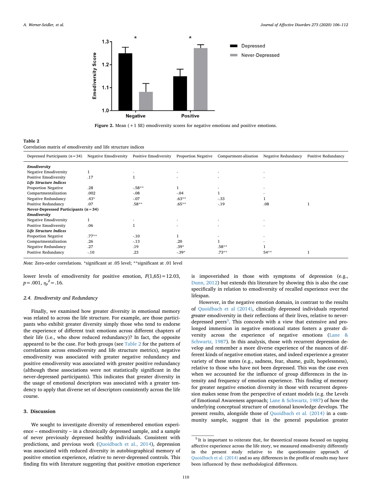

**Figure 2.** Mean (+1 SE) emodiversity scores for negative emotions and positive emotions.

#### **Table 2**

Correlation matrix of emodiversity and life structure indices

| Depressed Participants $(n=34)$       | Negative Emodiversity | Positive Emodiversity | <b>Proportion Negative</b> | Compartment-alisation | Negative Redundancy      | Positive Redundancy |
|---------------------------------------|-----------------------|-----------------------|----------------------------|-----------------------|--------------------------|---------------------|
| Emodiversity                          |                       |                       |                            |                       |                          |                     |
| Negative Emodiversity                 |                       |                       | $\overline{\phantom{a}}$   |                       | $\overline{\phantom{a}}$ |                     |
| Positive Emodiversity                 | .17                   |                       |                            |                       |                          |                     |
| Life Structure Indices                |                       |                       |                            |                       |                          |                     |
| Proportion Negative                   | .28                   | $-58**$               |                            |                       | $\overline{\phantom{a}}$ |                     |
| Compartmentalization                  | .002                  | $-0.08$               | $-.04$                     |                       |                          |                     |
| Negative Redundancy                   | $.43*$                | $-.07$                | $.63**$                    | $-33$                 |                          |                     |
| Positive Redundancy                   | .07                   | $.58**$               | $.65**$                    | $-19$                 | .08                      |                     |
| Never-Depressed Participants $(n=34)$ |                       |                       |                            |                       |                          |                     |
| Emodiversity                          |                       |                       |                            |                       |                          |                     |
| Negative Emodiversity                 |                       |                       |                            |                       |                          |                     |
| Positive Emodiversity                 | .06                   |                       |                            |                       |                          |                     |
| Life Structure Indices                |                       |                       |                            |                       |                          |                     |
| Proportion Negative                   | $.77**$               | $-10$                 |                            |                       | $\overline{\phantom{a}}$ |                     |
| Compartmentalization                  | .26                   | $-13$                 | .20                        |                       | ۰                        |                     |
| Negative Redundancy                   | .27                   | .19                   | $.39*$                     | $.58**$               |                          |                     |
| Positive Redundancy                   | $-10$                 | .23                   | $-39*$                     | $.73**$               | $54**$                   |                     |

*Note:* Zero-order correlations. \*significant at .05 level; \*\*significant at .01 level

lower levels of emodiversity for positive emotion,  $F(1,65)=12.03$ ,  $p = .001, \eta_p^2 = .16.$ 

#### *2.4. Emodiversity and Redundancy*

Finally, we examined how greater diversity in emotional memory was related to across the life structure. For example, are those participants who exhibit greater diversity simply those who tend to endorse the experience of different trait emotions across different chapters of their life (i.e., who show reduced redundancy)? In fact, the opposite appeared to be the case. For both groups (see Table 2 for the pattern of correlations across emodiversity and life structure metrics), negative emodiversity was associated with greater negative redundancy and positive emodiversity was associated with greater positive redundancy (although these associations were not statistically significant in the never-depressed participants). This indicates that greater diversity in the usage of emotional descriptors was associated with a greater tendency to apply that diverse set of descriptors consistently across the life course.

#### **3. Discussion**

We sought to investigate diversity of remembered emotion experience – emodiversity – in a chronically depressed sample, and a sample of never previously depressed healthy individuals. Consistent with predictions, and previous work (Quoidbach et al., 2014), depression was associated with reduced diversity in autobiographical memory of positive emotion experience, relative to never-depressed controls. This finding fits with literature suggesting that positive emotion experience

is impoverished in those with symptoms of depression (e.g., Dunn, 2012) but extends this literature by showing this is also the case specifically in relation to emodiversity of recalled experience over the lifespan.

However, in the negative emotion domain, in contrast to the results of Quoidbach et al (2014), clinically depressed individuals reported *greater* emodiversity in their reflections of their lives, relative to neverdepressed peers<sup>5</sup>. This concords with a view that extensive and prolonged immersion in negative emotional states fosters a greater diversity across the experience of negative emotions (Lane & Schwartz, 1987). In this analysis, those with recurrent depression develop and remember a more diverse experience of the nuances of different kinds of negative emotion states, and indeed experience a greater variety of these states (e.g., sadness, fear, shame, guilt, hopelessness), relative to those who have not been depressed. This was the case even when we accounted for the influence of group differences in the intensity and frequency of emotion experience. This finding of memory for greater negative emotion diversity in those with recurrent depression makes sense from the perspective of extant models (e.g. the Levels of Emotional Awareness approach; Lane & Schwartz, 1987) of how the underlying conceptual structure of emotional knowledge develops. The present results, alongside those of Quoidbach et al. (2014) in a community sample, suggest that in the general population greater

<sup>&</sup>lt;sup>5</sup> It is important to reiterate that, for theoretical reasons focused on tapping affective experience across the life story, we measured emodiversity differently in the present study relative to the questionnaire approach of Quoidbach et al. (2014) and so any differences in the profile of results may have been influenced by these methodological differences.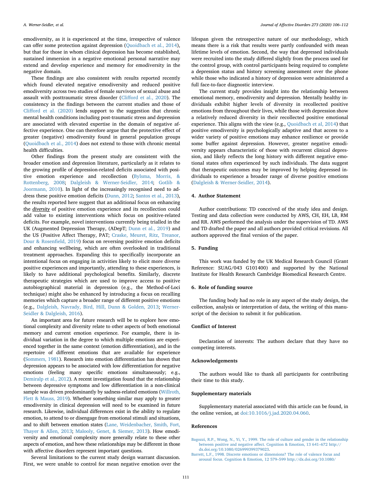emodiversity, as it is experienced at the time, irrespective of valence can offer some protection against depression (Quoidbach et al., 2014), but that for those in whom clinical depression has become established, sustained immersion in a negative emotional personal narrative may extend and develop experience and memory for emodiversity in the negative domain.

These findings are also consistent with results reported recently which found elevated negative emodiversity and reduced positive emodiversity across two studies of female survivors of sexual abuse and assault with posttraumatic stress disorder (Clifford et al., 2020). The consistency in the findings between the current studies and those of Clifford et al. (2020) lends support to the suggestion that chronic mental health conditions including post-traumatic stress and depression are associated with elevated expertise in the domain of negative affective experience. One can therefore argue that the protective effect of greater (negative) emodiversity found in general population groups (Quoidbach et al., 2014) does not extend to those with chronic mental health difficulties.

Other findings from the present study are consistent with the broader emotion and depression literature, particularly as it relates to the growing profile of depression-related deficits associated with positive emotion experience and recollection (Bylsma, Morris, & Rottenberg, 2008; Dalgleish & Werner-Seidler, 2014; Gotlib & Joormann, 2010). In light of the increasingly recognised need to address these positive emotion deficits (Dunn, 2012; Santos et al., 2013), the results reported here suggest that an additional focus on enhancing the *diversity* of positive emotion experience and its recollection could add value to existing interventions which focus on positive-related deficits. For example, novel interventions currently being trialled in the UK (Augmented Depression Therapy, (ADepT; Dunn et al., 2019) and the US (Positive Affect Therapy, PAT; Craske, Meuret, Ritz, Treanor, Dour & Rosenfield, 2019) focus on reversing positive emotion deficits and enhancing wellbeing, which are often overlooked in traditional treatment approaches. Expanding this to specifically incorporate an intentional focus on engaging in activities likely to elicit more diverse positive experiences and importantly, attending to these experiences, is likely to have additional psychological benefits. Similarly, discrete therapeutic strategies which are used to improve access to positive autobiographical material in depression (e.g., the Method-of-Loci technique) might also be enhanced by introducing a focus on recalling memories which capture a broader range of different positive emotions (e.g., Dalgleish, Navrady, Bird, Hill, Dunn & Golden, 2013; Werner-Seidler & Dalgleish, 2016).

An important area for future research will be to explore how emotional complexity and diversity relate to other aspects of both emotional memory and current emotion experience. For example, there is individual variation in the degree to which multiple emotions are experienced together in the same context (emotion differentiation), and in the repertoire of different emotions that are available for experience (Sommers, 1981). Research into emotion differentiation has shown that depression appears to be associated with low differentiation for negative emotions (feeling many specific emotions simultaneously; e.g., Demiralp et al., 2012). A recent investigation found that the relationship between depressive symptoms and low differentiation in a non-clinical sample was driven predominantly by sadness-related emotions (Willroth, Flett & Mauss, 2019). Whether something similar may apply to greater emodiversity in clinical depression will need to be examined in future research. Likewise, individual differences exist in the ability to regulate emotion, to attend to or disengage from emotional stimuli and situations, and to shift between emotion states (Lane, Weidenbacher, Smith, Fort, Thayer & Allen, 2013; Malooly, Genet, & Siemer, 2013). How emodiversity and emotional complexity more generally relate to these other aspects of emotion, and how these relationships may be different in those with affective disorders represent important questions.

Several limitations to the current study design warrant discussion. First, we were unable to control for mean negative emotion over the lifespan given the retrospective nature of our methodology, which means there is a risk that results were partly confounded with mean lifetime levels of emotion. Second, the way that depressed individuals were recruited into the study differed slightly from the process used for the control group, with control participants being required to complete a depression status and history screening assessment over the phone while those who indicated a history of depression were administered a full face-to-face diagnostic interview.

The current study provides insight into the relationship between emotional memory, emodiversity and depression. Mentally healthy individuals exhibit higher levels of diversity in recollected positive emotions from throughout their lives, while those with depression show a relatively reduced diversity in their recollected positive emotional experience. This aligns with the view (e.g., Quoidbach et al, 2014) that positive emodiversity is psychologically adaptive and that access to a wider variety of positive emotions may enhance resilience or provide some buffer against depression. However, greater negative emodiversity appears characteristic of those with recurrent clinical depression, and likely reflects the long history with different negative emotional states often experienced by such individuals. The data suggest that therapeutic outcomes may be improved by helping depressed individuals to experience a broader range of diverse positive emotions (Dalgleish & Werner-Seidler, 2014).

#### **4. Author Statement**

Author contributions: TD conceived of the study idea and design. Testing and data collection were conducted by AWS, CH, EH, LB, RM and RR. AWS performed the analysis under the supervision of TD. AWS and TD drafted the paper and all authors provided critical revisions. All authors approved the final version of the paper.

#### **5. Funding**

This work was funded by the UK Medical Research Council (Grant Reference: SUAG/043 G101400) and supported by the National Institute for Health Research Cambridge Biomedical Research Centre.

#### **6. Role of funding source**

The funding body had no role in any aspect of the study design, the collection, analysis or interpretation of data, the writing of this manuscript of the decision to submit it for publication.

#### **Conflict of Interest**

Declaration of interests: The authors declare that they have no competing interests.

#### **Acknowledgements**

The authors would like to thank all participants for contributing their time to this study.

#### **Supplementary materials**

Supplementary material associated with this article can be found, in the online version, at [doi:10.1016/j.jad.2020.04.060](https://doi.org/10.1016/j.jad.2020.04.060).

#### **References**

[Bagozzi, R.P., Wong, N., Yi, Y., 1999. The role of culture and gender in the relationship](http://refhub.elsevier.com/S0165-0327(19)32366-3/sbref0001) [between positive and negative affect. Cognition & Emotion, 13 641–672 http://](http://refhub.elsevier.com/S0165-0327(19)32366-3/sbref0001) [dx.doi.org/10.1080/026999399379023.](http://refhub.elsevier.com/S0165-0327(19)32366-3/sbref0001)

[Barrett, L.F., 1998. Discrete emotions or dimensions? The role of valence focus and](http://refhub.elsevier.com/S0165-0327(19)32366-3/sbref0002) [arousal focus. Cognition & Emotion, 12 579–599 http://dx.doi.org/10.1080/](http://refhub.elsevier.com/S0165-0327(19)32366-3/sbref0002)